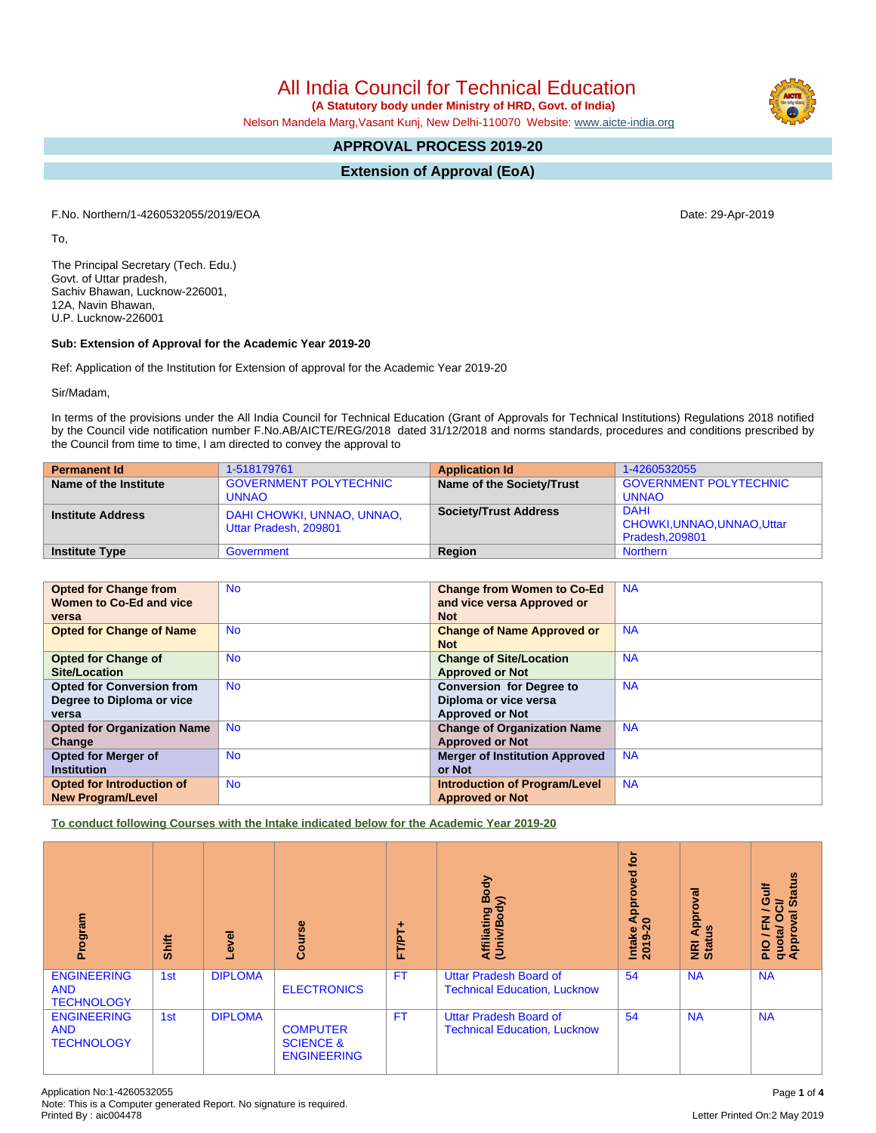All India Council for Technical Education

 **(A Statutory body under Ministry of HRD, Govt. of India)**

Nelson Mandela Marg,Vasant Kunj, New Delhi-110070 Website: [www.aicte-india.org](http://www.aicte-india.org)

# **APPROVAL PROCESS 2019-20**

**Extension of Approval (EoA)**

F.No. Northern/1-4260532055/2019/EOA Date: 29-Apr-2019

To,

The Principal Secretary (Tech. Edu.) Govt. of Uttar pradesh, Sachiv Bhawan, Lucknow-226001, 12A, Navin Bhawan, U.P. Lucknow-226001

#### **Sub: Extension of Approval for the Academic Year 2019-20**

Ref: Application of the Institution for Extension of approval for the Academic Year 2019-20

Sir/Madam,

In terms of the provisions under the All India Council for Technical Education (Grant of Approvals for Technical Institutions) Regulations 2018 notified by the Council vide notification number F.No.AB/AICTE/REG/2018 dated 31/12/2018 and norms standards, procedures and conditions prescribed by the Council from time to time, I am directed to convey the approval to

| <b>Permanent Id</b>      | 1-518179761                                         | <b>Application Id</b>        | 1-4260532055                                                 |
|--------------------------|-----------------------------------------------------|------------------------------|--------------------------------------------------------------|
| Name of the Institute    | <b>GOVERNMENT POLYTECHNIC</b>                       | Name of the Society/Trust    | <b>GOVERNMENT POLYTECHNIC</b>                                |
|                          | <b>UNNAO</b>                                        |                              | <b>UNNAO</b>                                                 |
| <b>Institute Address</b> | DAHI CHOWKI, UNNAO, UNNAO,<br>Uttar Pradesh, 209801 | <b>Society/Trust Address</b> | <b>DAHI</b><br>CHOWKI, UNNAO, UNNAO, Uttar<br>Pradesh.209801 |
| <b>Institute Type</b>    | Government                                          | <b>Region</b>                | <b>Northern</b>                                              |

| <b>Opted for Change from</b>       | <b>No</b> | <b>Change from Women to Co-Ed</b>     | <b>NA</b> |
|------------------------------------|-----------|---------------------------------------|-----------|
| Women to Co-Ed and vice            |           | and vice versa Approved or            |           |
| versa                              |           | <b>Not</b>                            |           |
| <b>Opted for Change of Name</b>    | <b>No</b> | <b>Change of Name Approved or</b>     | <b>NA</b> |
|                                    |           | <b>Not</b>                            |           |
| <b>Opted for Change of</b>         | <b>No</b> | <b>Change of Site/Location</b>        | <b>NA</b> |
| Site/Location                      |           | <b>Approved or Not</b>                |           |
| <b>Opted for Conversion from</b>   | <b>No</b> | <b>Conversion for Degree to</b>       | <b>NA</b> |
| Degree to Diploma or vice          |           | Diploma or vice versa                 |           |
| versa                              |           | <b>Approved or Not</b>                |           |
| <b>Opted for Organization Name</b> | <b>No</b> | <b>Change of Organization Name</b>    | <b>NA</b> |
| Change                             |           | <b>Approved or Not</b>                |           |
| <b>Opted for Merger of</b>         | <b>No</b> | <b>Merger of Institution Approved</b> | <b>NA</b> |
| <b>Institution</b>                 |           | or Not                                |           |
| Opted for Introduction of          | <b>No</b> | <b>Introduction of Program/Level</b>  | <b>NA</b> |
| <b>New Program/Level</b>           |           | <b>Approved or Not</b>                |           |

**To conduct following Courses with the Intake indicated below for the Academic Year 2019-20**

| Program                                               | <b>Shift</b> | Level          | Course                                                        | Body<br>⋦<br>Affiliating<br>(Univ/Bod<br>FT/PT+ |                                                                      | tor<br>Approved<br>$\circ$<br>Intake<br>2019 | Approval<br>9<br>NRI<br>Stat | <b>Status</b><br>Gulf<br><b>NOO</b><br>$\overline{\phantom{0}}$<br>ड़<br>PIO / FN<br>quota/ O<br>Approval |
|-------------------------------------------------------|--------------|----------------|---------------------------------------------------------------|-------------------------------------------------|----------------------------------------------------------------------|----------------------------------------------|------------------------------|-----------------------------------------------------------------------------------------------------------|
| <b>ENGINEERING</b><br><b>AND</b><br><b>TECHNOLOGY</b> | 1st          | <b>DIPLOMA</b> | <b>ELECTRONICS</b>                                            | <b>FT</b>                                       | <b>Uttar Pradesh Board of</b><br><b>Technical Education, Lucknow</b> | 54                                           | <b>NA</b>                    | <b>NA</b>                                                                                                 |
| <b>ENGINEERING</b><br><b>AND</b><br><b>TECHNOLOGY</b> | 1st          | <b>DIPLOMA</b> | <b>COMPUTER</b><br><b>SCIENCE &amp;</b><br><b>ENGINEERING</b> | <b>FT</b>                                       | <b>Uttar Pradesh Board of</b><br><b>Technical Education, Lucknow</b> | 54                                           | <b>NA</b>                    | <b>NA</b>                                                                                                 |

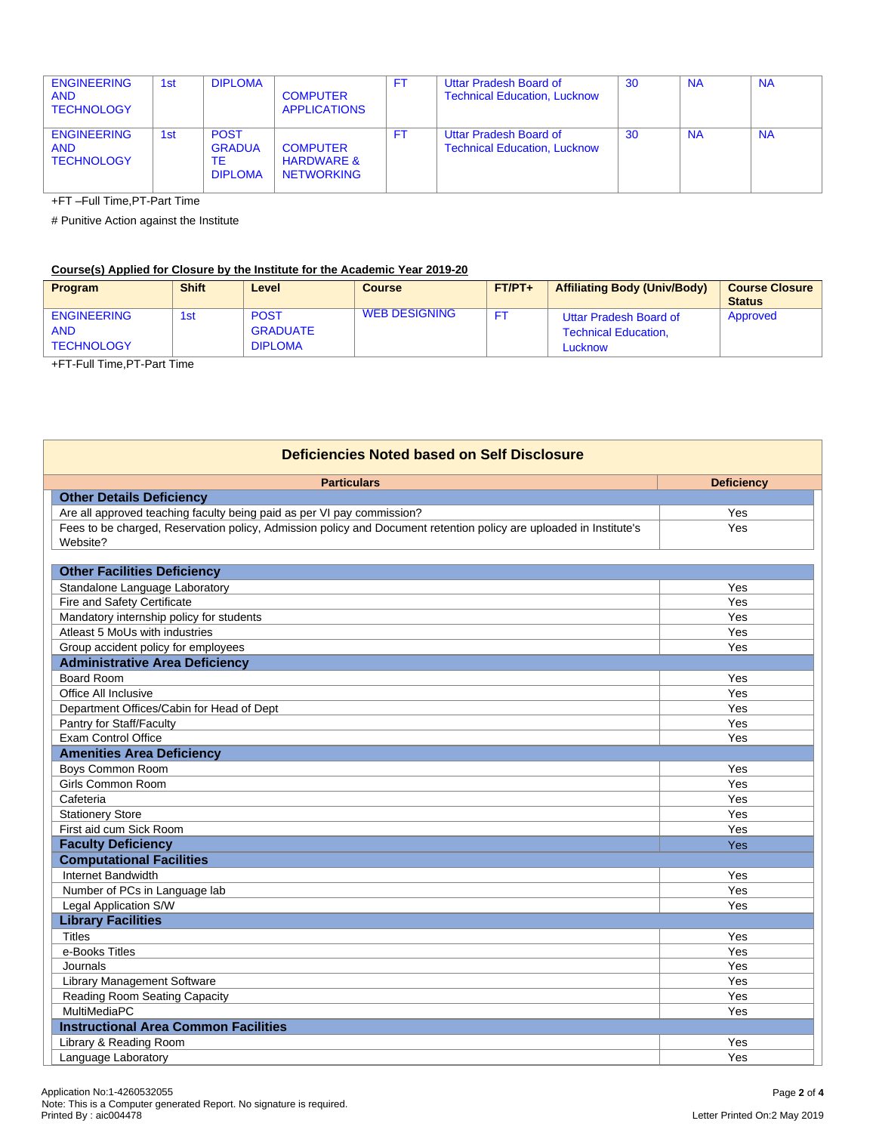| <b>ENGINEERING</b><br><b>AND</b><br><b>TECHNOLOGY</b> | 1st | <b>DIPLOMA</b>                                       | <b>COMPUTER</b><br><b>APPLICATIONS</b>                        | F1  | Uttar Pradesh Board of<br><b>Technical Education, Lucknow</b> | 30 | <b>NA</b> | <b>NA</b> |
|-------------------------------------------------------|-----|------------------------------------------------------|---------------------------------------------------------------|-----|---------------------------------------------------------------|----|-----------|-----------|
| <b>ENGINEERING</b><br><b>AND</b><br><b>TECHNOLOGY</b> | 1st | <b>POST</b><br><b>GRADUA</b><br>ТE<br><b>DIPLOMA</b> | <b>COMPUTER</b><br><b>HARDWARE &amp;</b><br><b>NETWORKING</b> | FT. | Uttar Pradesh Board of<br><b>Technical Education, Lucknow</b> | 30 | <b>NA</b> | <b>NA</b> |

+FT –Full Time,PT-Part Time

# Punitive Action against the Institute

## **Course(s) Applied for Closure by the Institute for the Academic Year 2019-20**

| <b>Program</b>                                        | <b>Shift</b> | Level                                            | <b>Course</b> | $FT/PT+$ | <b>Affiliating Body (Univ/Body)</b>                              | <b>Course Closure</b><br><b>Status</b> |
|-------------------------------------------------------|--------------|--------------------------------------------------|---------------|----------|------------------------------------------------------------------|----------------------------------------|
| <b>ENGINEERING</b><br><b>AND</b><br><b>TECHNOLOGY</b> | 1st          | <b>POST</b><br><b>GRADUATE</b><br><b>DIPLOMA</b> | WEB DESIGNING |          | Uttar Pradesh Board of<br><b>Technical Education.</b><br>Lucknow | Approved                               |

+FT-Full Time,PT-Part Time

| <b>Deficiencies Noted based on Self Disclosure</b>                                                                 |                   |  |  |  |  |
|--------------------------------------------------------------------------------------------------------------------|-------------------|--|--|--|--|
| <b>Particulars</b>                                                                                                 | <b>Deficiency</b> |  |  |  |  |
| <b>Other Details Deficiency</b>                                                                                    |                   |  |  |  |  |
| Are all approved teaching faculty being paid as per VI pay commission?                                             | Yes               |  |  |  |  |
| Fees to be charged, Reservation policy, Admission policy and Document retention policy are uploaded in Institute's | Yes               |  |  |  |  |
| Website?                                                                                                           |                   |  |  |  |  |
| <b>Other Facilities Deficiency</b>                                                                                 |                   |  |  |  |  |
| Standalone Language Laboratory                                                                                     | Yes               |  |  |  |  |
| Fire and Safety Certificate                                                                                        | Yes               |  |  |  |  |
| Mandatory internship policy for students                                                                           | Yes               |  |  |  |  |
| Atleast 5 MoUs with industries                                                                                     | Yes               |  |  |  |  |
| Group accident policy for employees                                                                                | Yes               |  |  |  |  |
| <b>Administrative Area Deficiency</b>                                                                              |                   |  |  |  |  |
| <b>Board Room</b>                                                                                                  | Yes               |  |  |  |  |
| Office All Inclusive                                                                                               | Yes               |  |  |  |  |
| Department Offices/Cabin for Head of Dept                                                                          | Yes               |  |  |  |  |
| Pantry for Staff/Faculty                                                                                           | Yes               |  |  |  |  |
| <b>Exam Control Office</b>                                                                                         | Yes               |  |  |  |  |
| <b>Amenities Area Deficiency</b>                                                                                   |                   |  |  |  |  |
| Boys Common Room                                                                                                   | Yes               |  |  |  |  |
| Girls Common Room                                                                                                  | Yes               |  |  |  |  |
| Cafeteria                                                                                                          | Yes               |  |  |  |  |
| <b>Stationery Store</b>                                                                                            | Yes               |  |  |  |  |
| First aid cum Sick Room                                                                                            | Yes               |  |  |  |  |
| <b>Faculty Deficiency</b>                                                                                          | Yes               |  |  |  |  |
| <b>Computational Facilities</b>                                                                                    |                   |  |  |  |  |
| Internet Bandwidth                                                                                                 | Yes               |  |  |  |  |
| Number of PCs in Language lab                                                                                      | Yes               |  |  |  |  |
| Legal Application S/W                                                                                              | Yes               |  |  |  |  |
| <b>Library Facilities</b>                                                                                          |                   |  |  |  |  |
| <b>Titles</b>                                                                                                      | Yes               |  |  |  |  |
| e-Books Titles                                                                                                     | Yes               |  |  |  |  |
| Journals                                                                                                           | Yes               |  |  |  |  |
| <b>Library Management Software</b>                                                                                 | Yes               |  |  |  |  |
| Reading Room Seating Capacity                                                                                      | Yes               |  |  |  |  |
| MultiMediaPC                                                                                                       | Yes               |  |  |  |  |
| <b>Instructional Area Common Facilities</b>                                                                        |                   |  |  |  |  |
| Library & Reading Room                                                                                             | Yes               |  |  |  |  |
| Language Laboratory                                                                                                | Yes               |  |  |  |  |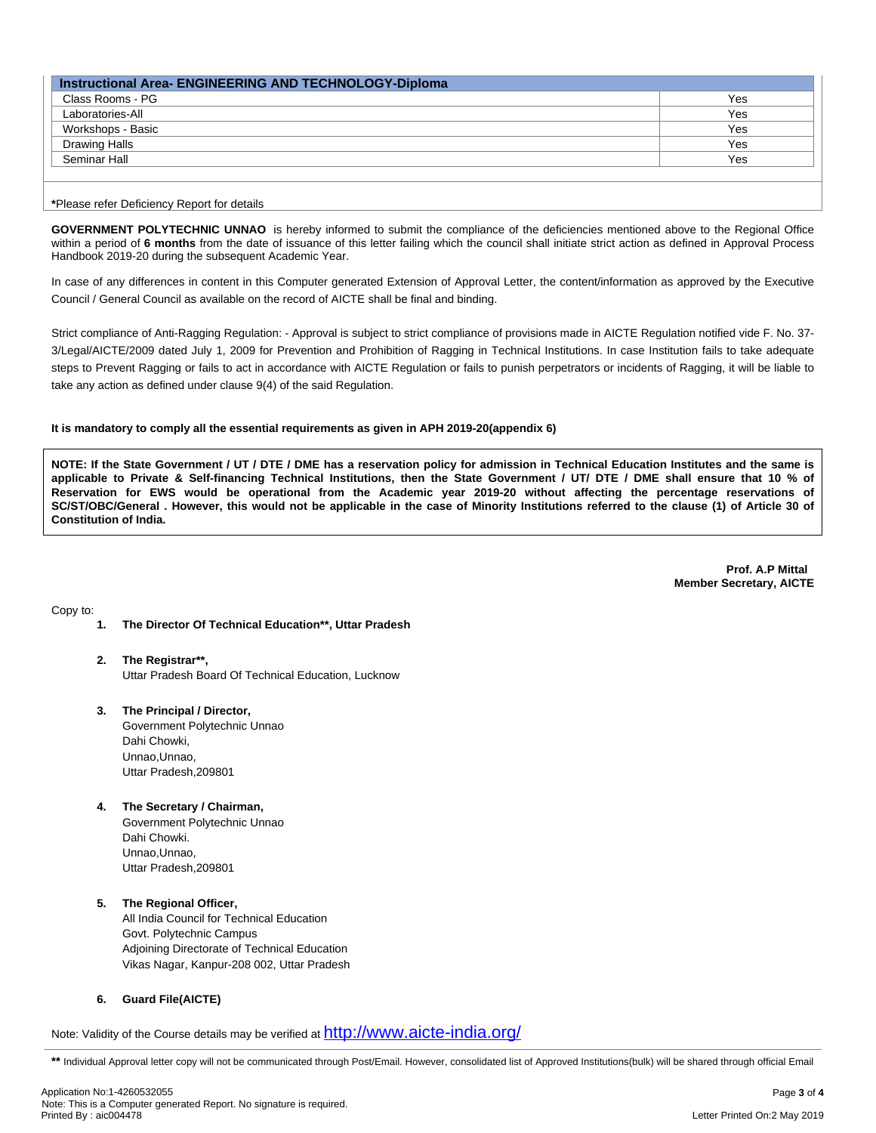| Instructional Area- ENGINEERING AND TECHNOLOGY-Diploma |     |  |  |  |  |
|--------------------------------------------------------|-----|--|--|--|--|
| Class Rooms - PG                                       | Yes |  |  |  |  |
| Laboratories-All                                       | Yes |  |  |  |  |
| Workshops - Basic                                      | Yes |  |  |  |  |
| <b>Drawing Halls</b>                                   | Yes |  |  |  |  |
| Seminar Hall                                           | Yes |  |  |  |  |
|                                                        |     |  |  |  |  |

**\***Please refer Deficiency Report for details

**GOVERNMENT POLYTECHNIC UNNAO** is hereby informed to submit the compliance of the deficiencies mentioned above to the Regional Office within a period of **6 months** from the date of issuance of this letter failing which the council shall initiate strict action as defined in Approval Process Handbook 2019-20 during the subsequent Academic Year.

In case of any differences in content in this Computer generated Extension of Approval Letter, the content/information as approved by the Executive Council / General Council as available on the record of AICTE shall be final and binding.

Strict compliance of Anti-Ragging Regulation: - Approval is subject to strict compliance of provisions made in AICTE Regulation notified vide F. No. 37- 3/Legal/AICTE/2009 dated July 1, 2009 for Prevention and Prohibition of Ragging in Technical Institutions. In case Institution fails to take adequate steps to Prevent Ragging or fails to act in accordance with AICTE Regulation or fails to punish perpetrators or incidents of Ragging, it will be liable to take any action as defined under clause 9(4) of the said Regulation.

#### **It is mandatory to comply all the essential requirements as given in APH 2019-20(appendix 6)**

NOTE: If the State Government / UT / DTE / DME has a reservation policy for admission in Technical Education Institutes and the same is applicable to Private & Self-financing Technical Institutions, then the State Government / UT/ DTE / DME shall ensure that 10 % of Reservation for EWS would be operational from the Academic year 2019-20 without affecting the percentage reservations of SC/ST/OBC/General. However, this would not be applicable in the case of Minority Institutions referred to the clause (1) of Article 30 of **Constitution of India.**

> **Prof. A.P Mittal Member Secretary, AICTE**

Copy to:

- **1. The Director Of Technical Education\*\*, Uttar Pradesh**
- **2. The Registrar\*\*,** Uttar Pradesh Board Of Technical Education, Lucknow
- **3. The Principal / Director,** Government Polytechnic Unnao Dahi Chowki, Unnao,Unnao, Uttar Pradesh,209801
- **4. The Secretary / Chairman,** Government Polytechnic Unnao Dahi Chowki. Unnao,Unnao, Uttar Pradesh,209801

#### **5. The Regional Officer,** All India Council for Technical Education

Govt. Polytechnic Campus Adjoining Directorate of Technical Education Vikas Nagar, Kanpur-208 002, Uttar Pradesh

### **6. Guard File(AICTE)**

Note: Validity of the Course details may be verified at <http://www.aicte-india.org/>

<sup>\*\*</sup> Individual Approval letter copy will not be communicated through Post/Email. However, consolidated list of Approved Institutions(bulk) will be shared through official Email